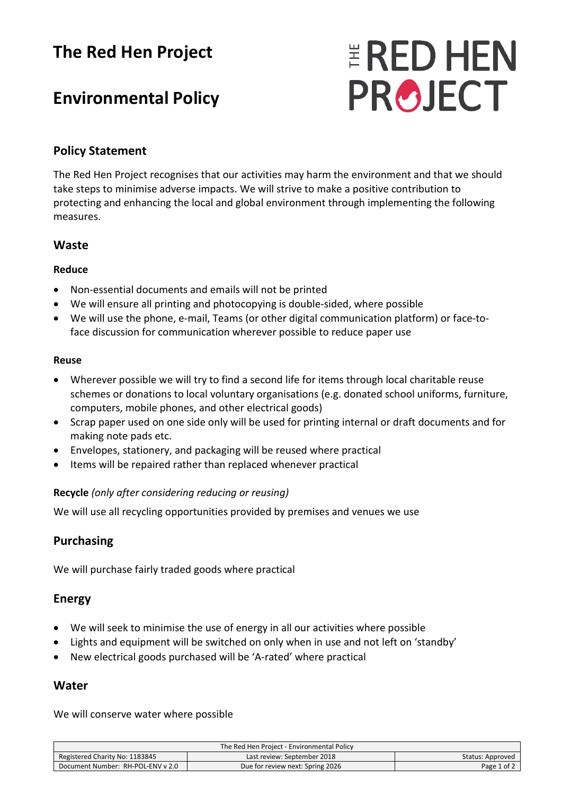## **The Red Hen Project**

# **Environmental Policy**

# **ERED HEN PROJECT**

#### **Policy Statement**

The Red Hen Project recognises that our activities may harm the environment and that we should take steps to minimise adverse impacts. We will strive to make a positive contribution to protecting and enhancing the local and global environment through implementing the following measures.

#### **Waste**

#### **Reduce**

- Non-essential documents and emails will not be printed
- We will ensure all printing and photocopying is double-sided, where possible
- We will use the phone, e-mail, Teams (or other digital communication platform) or face-toface discussion for communication wherever possible to reduce paper use

#### **Reuse**

- Wherever possible we will try to find a second life for items through local charitable reuse schemes or donations to local voluntary organisations (e.g. donated school uniforms, furniture, computers, mobile phones, and other electrical goods)
- Scrap paper used on one side only will be used for printing internal or draft documents and for making note pads etc.
- Envelopes, stationery, and packaging will be reused where practical
- Items will be repaired rather than replaced whenever practical

#### **Recycle** *(only after considering reducing or reusing)*

We will use all recycling opportunities provided by premises and venues we use

#### **Purchasing**

We will purchase fairly traded goods where practical

#### **Energy**

- We will seek to minimise the use of energy in all our activities where possible
- Lights and equipment will be switched on only when in use and not left on 'standby'
- New electrical goods purchased will be 'A-rated' where practical

#### **Water**

We will conserve water where possible

|                                   | The Red Hen Project - Environmental Policy |                  |
|-----------------------------------|--------------------------------------------|------------------|
| Registered Charity No: 1183845    | Last review: September 2018                | Status: Approved |
| Document Number: RH-POL-ENV v 2.0 | Due for review next: Spring 2026           | Page 1 of 2      |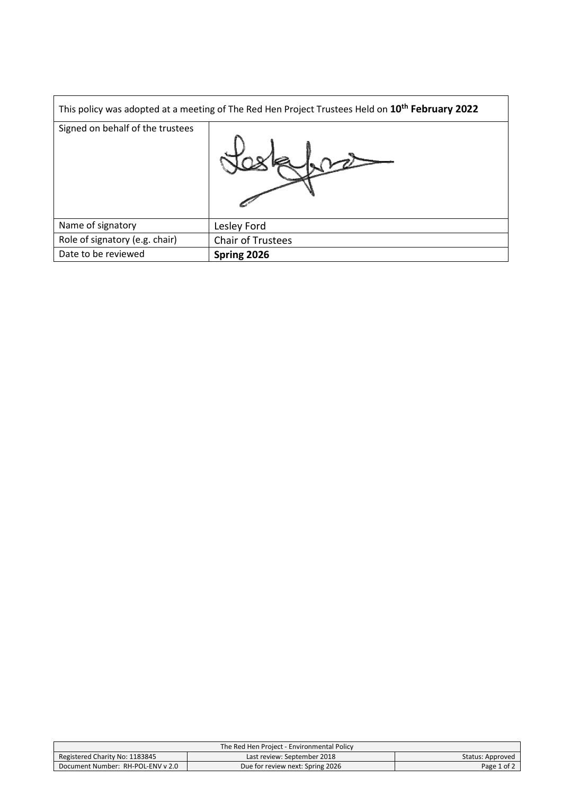|                                  | This policy was adopted at a meeting of The Red Hen Project Trustees Held on 10 <sup>th</sup> February 2022 |
|----------------------------------|-------------------------------------------------------------------------------------------------------------|
| Signed on behalf of the trustees |                                                                                                             |
| Name of signatory                | Lesley Ford                                                                                                 |
| Role of signatory (e.g. chair)   | <b>Chair of Trustees</b>                                                                                    |
| Date to be reviewed              | Spring 2026                                                                                                 |

|                                   | The Red Hen Project - Environmental Policy |                  |
|-----------------------------------|--------------------------------------------|------------------|
| Registered Charity No: 1183845    | Last review: September 2018                | Status: Approved |
| Document Number: RH-POL-ENV v 2.0 | Due for review next: Spring 2026           | Page 1 of 2      |
|                                   |                                            |                  |